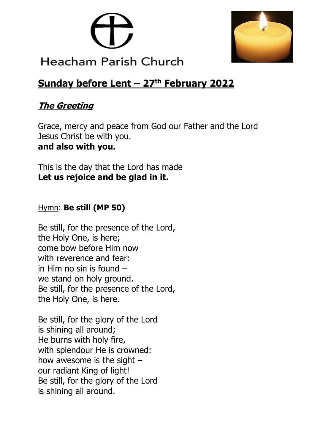



# **Sunday before Lent – 27th February 2022**

## **The Greeting**

Grace, mercy and peace from God our Father and the Lord Jesus Christ be with you. **and also with you.**

This is the day that the Lord has made **Let us rejoice and be glad in it.**

## Hymn: **Be still (MP 50)**

Be still, for the presence of the Lord, the Holy One, is here; come bow before Him now with reverence and fear: in Him no sin is found – we stand on holy ground. Be still, for the presence of the Lord, the Holy One, is here.

Be still, for the glory of the Lord is shining all around; He burns with holy fire, with splendour He is crowned: how awesome is the sight – our radiant King of light! Be still, for the glory of the Lord is shining all around.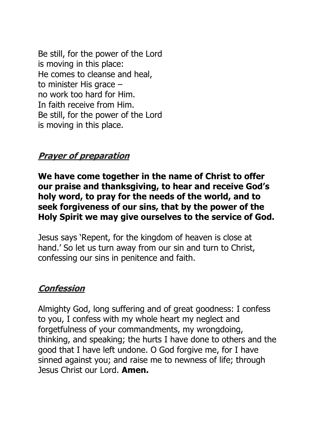Be still, for the power of the Lord is moving in this place: He comes to cleanse and heal, to minister His grace – no work too hard for Him. In faith receive from Him. Be still, for the power of the Lord is moving in this place.

## **Prayer of preparation**

**We have come together in the name of Christ to offer our praise and thanksgiving, to hear and receive God's holy word, to pray for the needs of the world, and to seek forgiveness of our sins, that by the power of the Holy Spirit we may give ourselves to the service of God.** 

Jesus says 'Repent, for the kingdom of heaven is close at hand.' So let us turn away from our sin and turn to Christ, confessing our sins in penitence and faith.

## **Confession**

Almighty God, long suffering and of great goodness: I confess to you, I confess with my whole heart my neglect and forgetfulness of your commandments, my wrongdoing, thinking, and speaking; the hurts I have done to others and the good that I have left undone. O God forgive me, for I have sinned against you; and raise me to newness of life; through Jesus Christ our Lord. **Amen.**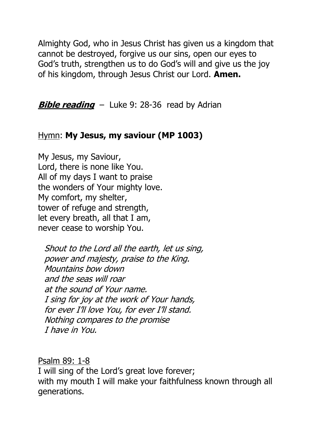Almighty God, who in Jesus Christ has given us a kingdom that cannot be destroyed, forgive us our sins, open our eyes to God's truth, strengthen us to do God's will and give us the joy of his kingdom, through Jesus Christ our Lord. **Amen.**

**Bible reading** – Luke 9: 28-36 read by Adrian

#### Hymn: **My Jesus, my saviour (MP 1003)**

My Jesus, my Saviour, Lord, there is none like You. All of my days I want to praise the wonders of Your mighty love. My comfort, my shelter, tower of refuge and strength, let every breath, all that I am, never cease to worship You.

Shout to the Lord all the earth, let us sing, power and majesty, praise to the King. Mountains bow down and the seas will roar at the sound of Your name. I sing for joy at the work of Your hands, for ever I'll love You, for ever I'll stand. Nothing compares to the promise I have in You.

Psalm 89: 1-8 I will sing of the Lord's great love forever; with my mouth I will make your faithfulness known through all generations.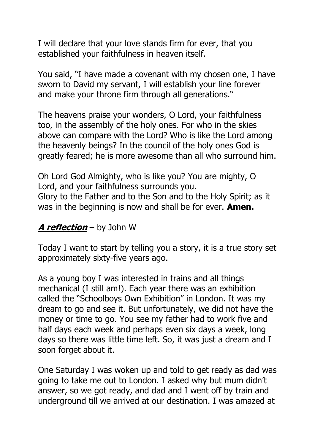I will declare that your love stands firm for ever, that you established your faithfulness in heaven itself.

You said, "I have made a covenant with my chosen one, I have sworn to David my servant, I will establish your line forever and make your throne firm through all generations."

The heavens praise your wonders, O Lord, your faithfulness too, in the assembly of the holy ones. For who in the skies above can compare with the Lord? Who is like the Lord among the heavenly beings? In the council of the holy ones God is greatly feared; he is more awesome than all who surround him.

Oh Lord God Almighty, who is like you? You are mighty, O Lord, and your faithfulness surrounds you. Glory to the Father and to the Son and to the Holy Spirit; as it was in the beginning is now and shall be for ever. **Amen.**

#### **A reflection** – by John W

Today I want to start by telling you a story, it is a true story set approximately sixty-five years ago.

As a young boy I was interested in trains and all things mechanical (I still am!). Each year there was an exhibition called the "Schoolboys Own Exhibition" in London. It was my dream to go and see it. But unfortunately, we did not have the money or time to go. You see my father had to work five and half days each week and perhaps even six days a week, long days so there was little time left. So, it was just a dream and I soon forget about it.

One Saturday I was woken up and told to get ready as dad was going to take me out to London. I asked why but mum didn't answer, so we got ready, and dad and I went off by train and underground till we arrived at our destination. I was amazed at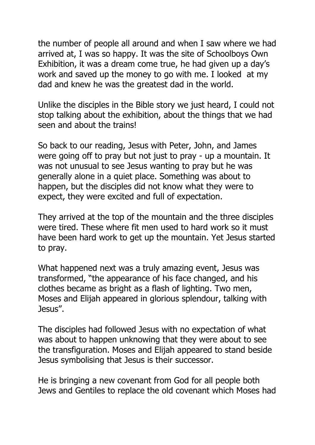the number of people all around and when I saw where we had arrived at, I was so happy. It was the site of Schoolboys Own Exhibition, it was a dream come true, he had given up a day's work and saved up the money to go with me. I looked at my dad and knew he was the greatest dad in the world.

Unlike the disciples in the Bible story we just heard, I could not stop talking about the exhibition, about the things that we had seen and about the trains!

So back to our reading, Jesus with Peter, John, and James were going off to pray but not just to pray - up a mountain. It was not unusual to see Jesus wanting to pray but he was generally alone in a quiet place. Something was about to happen, but the disciples did not know what they were to expect, they were excited and full of expectation.

They arrived at the top of the mountain and the three disciples were tired. These where fit men used to hard work so it must have been hard work to get up the mountain. Yet Jesus started to pray.

What happened next was a truly amazing event, Jesus was transformed, "the appearance of his face changed, and his clothes became as bright as a flash of lighting. Two men, Moses and Elijah appeared in glorious splendour, talking with Jesus".

The disciples had followed Jesus with no expectation of what was about to happen unknowing that they were about to see the transfiguration. Moses and Elijah appeared to stand beside Jesus symbolising that Jesus is their successor.

He is bringing a new covenant from God for all people both Jews and Gentiles to replace the old covenant which Moses had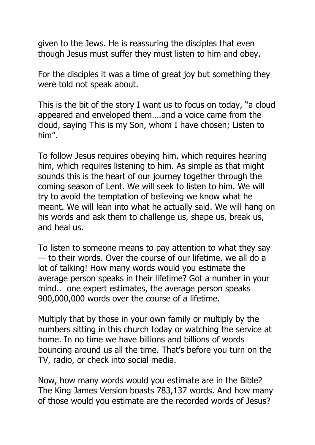given to the Jews. He is reassuring the disciples that even though Jesus must suffer they must listen to him and obey.

For the disciples it was a time of great joy but something they were told not speak about.

This is the bit of the story I want us to focus on today, "a cloud appeared and enveloped them….and a voice came from the cloud, saying This is my Son, whom I have chosen; Listen to him".

To follow Jesus requires obeying him, which requires hearing him, which requires listening to him. As simple as that might sounds this is the heart of our journey together through the coming season of Lent. We will seek to listen to him. We will try to avoid the temptation of believing we know what he meant. We will lean into what he actually said. We will hang on his words and ask them to challenge us, shape us, break us, and heal us.

To listen to someone means to pay attention to what they say — to their words. Over the course of our lifetime, we all do a lot of talking! How many words would you estimate the average person speaks in their lifetime? Got a number in your mind.. one expert estimates, the average person speaks 900,000,000 words over the course of a lifetime.

Multiply that by those in your own family or multiply by the numbers sitting in this church today or watching the service at home. In no time we have billions and billions of words bouncing around us all the time. That's before you turn on the TV, radio, or check into social media.

Now, how many words would you estimate are in the Bible? The King James Version boasts 783,137 words. And how many of those would you estimate are the recorded words of Jesus?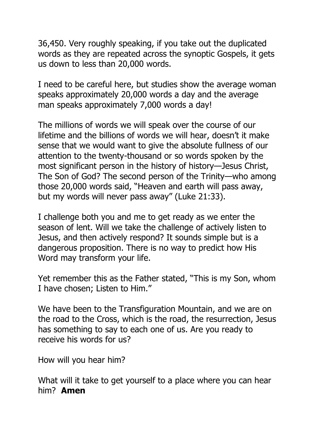36,450. Very roughly speaking, if you take out the duplicated words as they are repeated across the synoptic Gospels, it gets us down to less than 20,000 words.

I need to be careful here, but studies show the average woman speaks approximately 20,000 words a day and the average man speaks approximately 7,000 words a day!

The millions of words we will speak over the course of our lifetime and the billions of words we will hear, doesn't it make sense that we would want to give the absolute fullness of our attention to the twenty-thousand or so words spoken by the most significant person in the history of history—Jesus Christ, The Son of God? The second person of the Trinity—who among those 20,000 words said, "Heaven and earth will pass away, but my words will never pass away" (Luke 21:33).

I challenge both you and me to get ready as we enter the season of lent. Will we take the challenge of actively listen to Jesus, and then actively respond? It sounds simple but is a dangerous proposition. There is no way to predict how His Word may transform your life.

Yet remember this as the Father stated, "This is my Son, whom I have chosen; Listen to Him."

We have been to the Transfiguration Mountain, and we are on the road to the Cross, which is the road, the resurrection, Jesus has something to say to each one of us. Are you ready to receive his words for us?

How will you hear him?

What will it take to get yourself to a place where you can hear him? **Amen**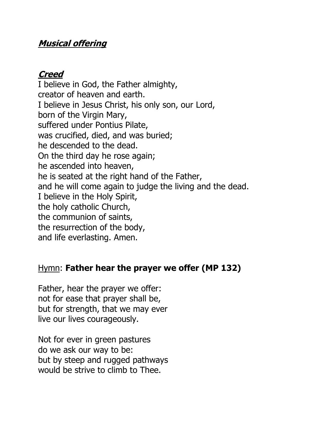#### **Musical offering**

# **Creed**

I believe in God, the Father almighty, creator of heaven and earth. I believe in Jesus Christ, his only son, our Lord, born of the Virgin Mary, suffered under Pontius Pilate, was crucified, died, and was buried; he descended to the dead. On the third day he rose again; he ascended into heaven, he is seated at the right hand of the Father, and he will come again to judge the living and the dead. I believe in the Holy Spirit, the holy catholic Church, the communion of saints, the resurrection of the body, and life everlasting. Amen.

#### Hymn: **Father hear the prayer we offer (MP 132)**

Father, hear the prayer we offer: not for ease that prayer shall be, but for strength, that we may ever live our lives courageously.

Not for ever in green pastures do we ask our way to be: but by steep and rugged pathways would be strive to climb to Thee.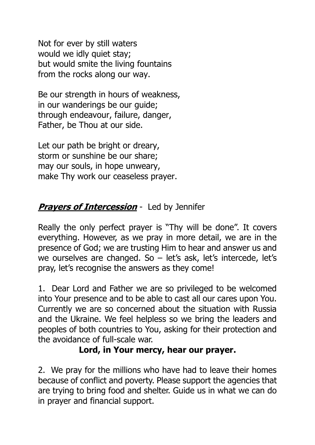Not for ever by still waters would we idly quiet stay; but would smite the living fountains from the rocks along our way.

Be our strength in hours of weakness, in our wanderings be our guide; through endeavour, failure, danger, Father, be Thou at our side.

Let our path be bright or dreary, storm or sunshine be our share; may our souls, in hope unweary, make Thy work our ceaseless prayer.

# **Prayers of Intercession** - Led by Jennifer

Really the only perfect prayer is "Thy will be done". It covers everything. However, as we pray in more detail, we are in the presence of God; we are trusting Him to hear and answer us and we ourselves are changed. So – let's ask, let's intercede, let's pray, let's recognise the answers as they come!

1. Dear Lord and Father we are so privileged to be welcomed into Your presence and to be able to cast all our cares upon You. Currently we are so concerned about the situation with Russia and the Ukraine. We feel helpless so we bring the leaders and peoples of both countries to You, asking for their protection and the avoidance of full-scale war.

## **Lord, in Your mercy, hear our prayer.**

2. We pray for the millions who have had to leave their homes because of conflict and poverty. Please support the agencies that are trying to bring food and shelter. Guide us in what we can do in prayer and financial support.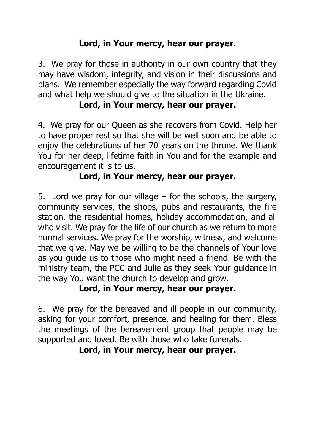## **Lord, in Your mercy, hear our prayer.**

3. We pray for those in authority in our own country that they may have wisdom, integrity, and vision in their discussions and plans. We remember especially the way forward regarding Covid and what help we should give to the situation in the Ukraine.

## **Lord, in Your mercy, hear our prayer.**

4. We pray for our Queen as she recovers from Covid. Help her to have proper rest so that she will be well soon and be able to enjoy the celebrations of her 70 years on the throne. We thank You for her deep, lifetime faith in You and for the example and encouragement it is to us.

## **Lord, in Your mercy, hear our prayer.**

5. Lord we pray for our village  $-$  for the schools, the surgery, community services, the shops, pubs and restaurants, the fire station, the residential homes, holiday accommodation, and all who visit. We pray for the life of our church as we return to more normal services. We pray for the worship, witness, and welcome that we give. May we be willing to be the channels of Your love as you guide us to those who might need a friend. Be with the ministry team, the PCC and Julie as they seek Your guidance in the way You want the church to develop and grow.

## **Lord, in Your mercy, hear our prayer.**

6. We pray for the bereaved and ill people in our community, asking for your comfort, presence, and healing for them. Bless the meetings of the bereavement group that people may be supported and loved. Be with those who take funerals.

#### **Lord, in Your mercy, hear our prayer.**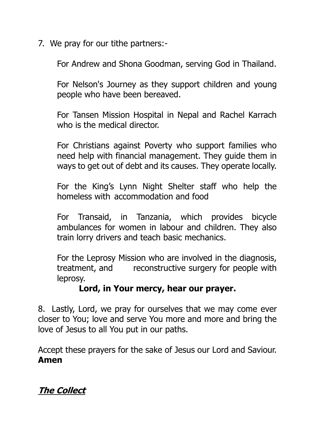7. We pray for our tithe partners:-

For Andrew and Shona Goodman, serving God in Thailand.

For Nelson's Journey as they support children and young people who have been bereaved.

For Tansen Mission Hospital in Nepal and Rachel Karrach who is the medical director.

For Christians against Poverty who support families who need help with financial management. They guide them in ways to get out of debt and its causes. They operate locally.

For the King's Lynn Night Shelter staff who help the homeless with accommodation and food

For Transaid, in Tanzania, which provides bicycle ambulances for women in labour and children. They also train lorry drivers and teach basic mechanics.

For the Leprosy Mission who are involved in the diagnosis, treatment, and reconstructive surgery for people with leprosy.

#### **Lord, in Your mercy, hear our prayer.**

8. Lastly, Lord, we pray for ourselves that we may come ever closer to You; love and serve You more and more and bring the love of Jesus to all You put in our paths.

Accept these prayers for the sake of Jesus our Lord and Saviour. **Amen**

#### **The Collect**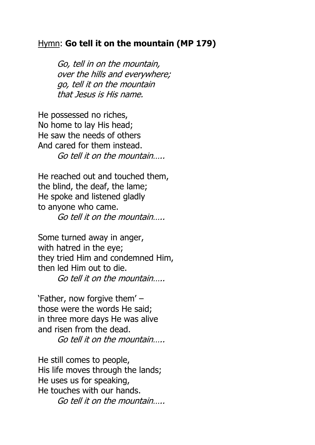#### Hymn: **Go tell it on the mountain (MP 179)**

Go, tell in on the mountain, over the hills and everywhere; go, tell it on the mountain that Jesus is His name.

He possessed no riches, No home to lay His head; He saw the needs of others And cared for them instead. Go tell it on the mountain…..

He reached out and touched them, the blind, the deaf, the lame; He spoke and listened gladly to anyone who came. Go tell it on the mountain…..

Some turned away in anger, with hatred in the eye; they tried Him and condemned Him, then led Him out to die. Go tell it on the mountain…..

'Father, now forgive them' – those were the words He said; in three more days He was alive and risen from the dead. Go tell it on the mountain…..

He still comes to people, His life moves through the lands; He uses us for speaking, He touches with our hands. Go tell it on the mountain…..